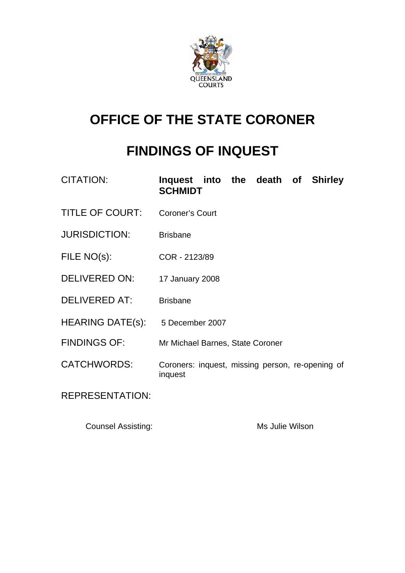

# **OFFICE OF THE STATE CORONER**

## **FINDINGS OF INQUEST**

| <b>CITATION:</b>        | Inquest into the death of Shirley<br><b>SCHMIDT</b>         |
|-------------------------|-------------------------------------------------------------|
| <b>TITLE OF COURT:</b>  | <b>Coroner's Court</b>                                      |
| <b>JURISDICTION:</b>    | <b>Brisbane</b>                                             |
| FILE NO(s):             | COR - 2123/89                                               |
| <b>DELIVERED ON:</b>    | 17 January 2008                                             |
| <b>DELIVERED AT:</b>    | <b>Brisbane</b>                                             |
| <b>HEARING DATE(s):</b> | 5 December 2007                                             |
| <b>FINDINGS OF:</b>     | Mr Michael Barnes, State Coroner                            |
| <b>CATCHWORDS:</b>      | Coroners: inquest, missing person, re-opening of<br>inquest |
| <b>REPRESENTATION:</b>  |                                                             |

Counsel Assisting: The Manuscript of Ms Julie Wilson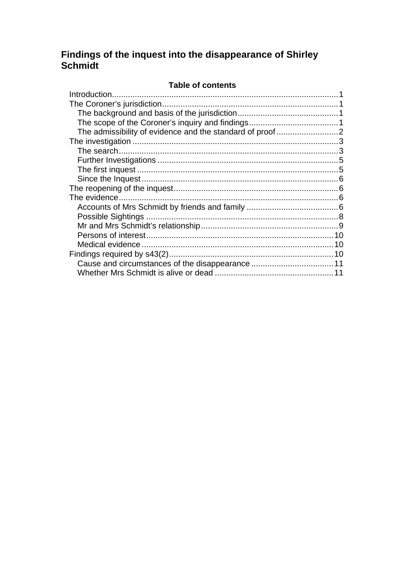## Findings of the inquest into the disappearance of Shirley Schmidt

#### Table of contents

| 10 |
|----|
| 10 |
|    |
|    |
|    |
|    |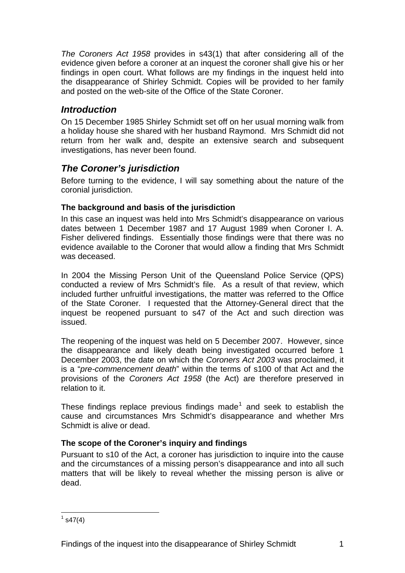<span id="page-2-0"></span>*The Coroners Act 1958* provides in s43(1) that after considering all of the evidence given before a coroner at an inquest the coroner shall give his or her findings in open court. What follows are my findings in the inquest held into the disappearance of Shirley Schmidt. Copies will be provided to her family and posted on the web-site of the Office of the State Coroner.

## *Introduction*

On 15 December 1985 Shirley Schmidt set off on her usual morning walk from a holiday house she shared with her husband Raymond. Mrs Schmidt did not return from her walk and, despite an extensive search and subsequent investigations, has never been found.

## *The Coroner's jurisdiction*

Before turning to the evidence, I will say something about the nature of the coronial jurisdiction.

## **The background and basis of the jurisdiction**

In this case an inquest was held into Mrs Schmidt's disappearance on various dates between 1 December 1987 and 17 August 1989 when Coroner I. A. Fisher delivered findings. Essentially those findings were that there was no evidence available to the Coroner that would allow a finding that Mrs Schmidt was deceased.

In 2004 the Missing Person Unit of the Queensland Police Service (QPS) conducted a review of Mrs Schmidt's file. As a result of that review, which included further unfruitful investigations, the matter was referred to the Office of the State Coroner. I requested that the Attorney-General direct that the inquest be reopened pursuant to s47 of the Act and such direction was issued.

The reopening of the inquest was held on 5 December 2007. However, since the disappearance and likely death being investigated occurred before 1 December 2003, the date on which the *Coroners Act 2003* was proclaimed, it is a "*pre-commencement death*" within the terms of s100 of that Act and the provisions of the *Coroners Act 1958* (the Act) are therefore preserved in relation to it.

These findings replace previous findings made<sup>[1](#page-2-1)</sup> and seek to establish the cause and circumstances Mrs Schmidt's disappearance and whether Mrs Schmidt is alive or dead.

#### **The scope of the Coroner's inquiry and findings**

Pursuant to s10 of the Act, a coroner has jurisdiction to inquire into the cause and the circumstances of a missing person's disappearance and into all such matters that will be likely to reveal whether the missing person is alive or dead.

<span id="page-2-1"></span>l  $1$  s47(4)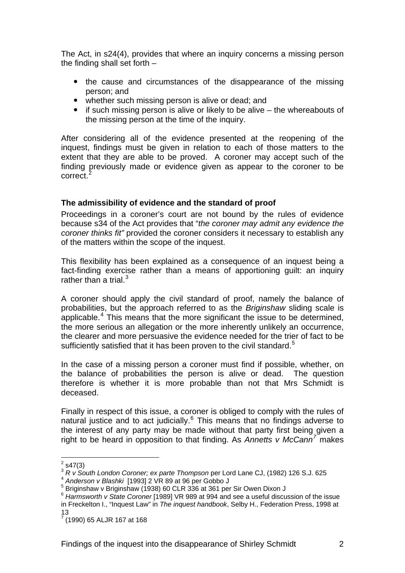<span id="page-3-0"></span>The Act, in s24(4), provides that where an inquiry concerns a missing person the finding shall set forth –

- the cause and circumstances of the disappearance of the missing person; and
- whether such missing person is alive or dead; and
- $\bullet$  if such missing person is alive or likely to be alive the whereabouts of the missing person at the time of the inquiry.

After considering all of the evidence presented at the reopening of the inquest, findings must be given in relation to each of those matters to the extent that they are able to be proved. A coroner may accept such of the finding previously made or evidence given as appear to the coroner to be correct.

#### **The admissibility of evidence and the standard of proof**

Proceedings in a coroner's court are not bound by the rules of evidence because s34 of the Act provides that "*the coroner may admit any evidence the coroner thinks fit"* provided the coroner considers it necessary to establish any of the matters within the scope of the inquest.

This flexibility has been explained as a consequence of an inquest being a fact-finding exercise rather than a means of apportioning guilt: an inquiry rather than a trial. $3$ 

A coroner should apply the civil standard of proof, namely the balance of probabilities, but the approach referred to as the *Briginshaw* sliding scale is applicable.<sup>[4](#page-3-3)</sup> This means that the more significant the issue to be determined, the more serious an allegation or the more inherently unlikely an occurrence, the clearer and more persuasive the evidence needed for the trier of fact to be sufficiently satisfied that it has been proven to the civil standard.<sup>[5](#page-3-4)</sup>

In the case of a missing person a coroner must find if possible, whether, on the balance of probabilities the person is alive or dead. The question therefore is whether it is more probable than not that Mrs Schmidt is deceased.

Finally in respect of this issue, a coroner is obliged to comply with the rules of natural justice and to act judicially.<sup>[6](#page-3-5)</sup> This means that no findings adverse to the interest of any party may be made without that party first being given a right to be heard in opposition to that finding. As *Annetts v McCann[7](#page-3-6)* makes

 $\frac{1}{2}$  s47(3)

<span id="page-3-2"></span><span id="page-3-1"></span><sup>3</sup> *R v South London Coroner; ex parte Thompson* per Lord Lane CJ, (1982) 126 S.J. 625<br><sup>4</sup> *Anderson v Blashki* [1993] 2 VR 89 at 96 per Gobbo J

<span id="page-3-4"></span><span id="page-3-3"></span><sup>&</sup>lt;sup>5</sup> Briginshaw v Briginshaw (1938) 60 CLR 336 at 361 per Sir Owen Dixon J

<span id="page-3-5"></span><sup>6</sup> *Harmsworth v State Coroner* [1989] VR 989 at 994 and see a useful discussion of the issue in Freckelton I., "Inquest Law" in *The inquest handbook*, Selby H., Federation Press, 1998 at 13

<span id="page-3-6"></span> $7$  (1990) 65 ALJR 167 at 168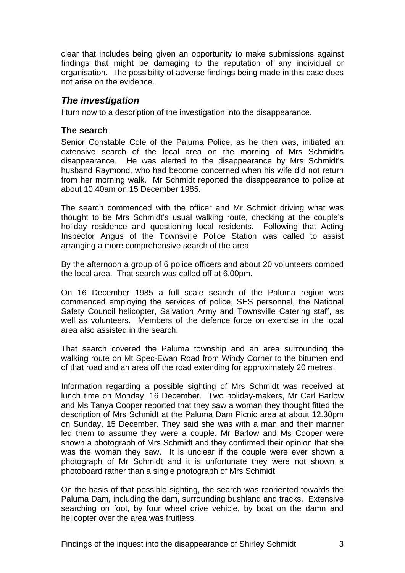<span id="page-4-0"></span>clear that includes being given an opportunity to make submissions against findings that might be damaging to the reputation of any individual or organisation. The possibility of adverse findings being made in this case does not arise on the evidence.

## *The investigation*

I turn now to a description of the investigation into the disappearance.

## **The search**

Senior Constable Cole of the Paluma Police, as he then was, initiated an extensive search of the local area on the morning of Mrs Schmidt's disappearance. He was alerted to the disappearance by Mrs Schmidt's husband Raymond, who had become concerned when his wife did not return from her morning walk. Mr Schmidt reported the disappearance to police at about 10.40am on 15 December 1985.

The search commenced with the officer and Mr Schmidt driving what was thought to be Mrs Schmidt's usual walking route, checking at the couple's holiday residence and questioning local residents. Following that Acting Inspector Angus of the Townsville Police Station was called to assist arranging a more comprehensive search of the area.

By the afternoon a group of 6 police officers and about 20 volunteers combed the local area. That search was called off at 6.00pm.

On 16 December 1985 a full scale search of the Paluma region was commenced employing the services of police, SES personnel, the National Safety Council helicopter, Salvation Army and Townsville Catering staff, as well as volunteers. Members of the defence force on exercise in the local area also assisted in the search.

That search covered the Paluma township and an area surrounding the walking route on Mt Spec-Ewan Road from Windy Corner to the bitumen end of that road and an area off the road extending for approximately 20 metres.

Information regarding a possible sighting of Mrs Schmidt was received at lunch time on Monday, 16 December. Two holiday-makers, Mr Carl Barlow and Ms Tanya Cooper reported that they saw a woman they thought fitted the description of Mrs Schmidt at the Paluma Dam Picnic area at about 12.30pm on Sunday, 15 December. They said she was with a man and their manner led them to assume they were a couple. Mr Barlow and Ms Cooper were shown a photograph of Mrs Schmidt and they confirmed their opinion that she was the woman they saw. It is unclear if the couple were ever shown a photograph of Mr Schmidt and it is unfortunate they were not shown a photoboard rather than a single photograph of Mrs Schmidt.

On the basis of that possible sighting, the search was reoriented towards the Paluma Dam, including the dam, surrounding bushland and tracks. Extensive searching on foot, by four wheel drive vehicle, by boat on the damn and helicopter over the area was fruitless.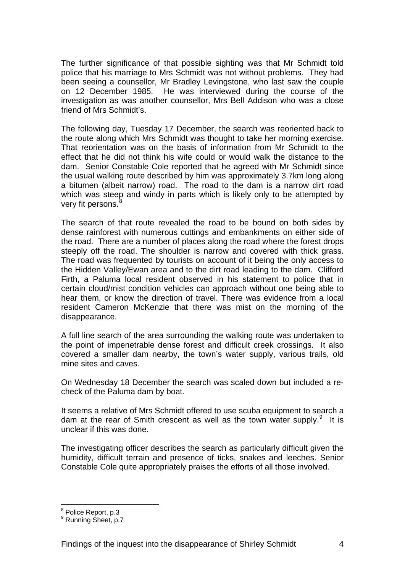The further significance of that possible sighting was that Mr Schmidt told police that his marriage to Mrs Schmidt was not without problems. They had been seeing a counsellor, Mr Bradley Levingstone, who last saw the couple on 12 December 1985. He was interviewed during the course of the investigation as was another counsellor, Mrs Bell Addison who was a close friend of Mrs Schmidt's.

The following day, Tuesday 17 December, the search was reoriented back to the route along which Mrs Schmidt was thought to take her morning exercise. That reorientation was on the basis of information from Mr Schmidt to the effect that he did not think his wife could or would walk the distance to the dam. Senior Constable Cole reported that he agreed with Mr Schmidt since the usual walking route described by him was approximately 3.7km long along a bitumen (albeit narrow) road. The road to the dam is a narrow dirt road which was steep and windy in parts which is likely only to be attempted by very fit persons. $8$ 

The search of that route revealed the road to be bound on both sides by dense rainforest with numerous cuttings and embankments on either side of the road. There are a number of places along the road where the forest drops steeply off the road. The shoulder is narrow and covered with thick grass. The road was frequented by tourists on account of it being the only access to the Hidden Valley/Ewan area and to the dirt road leading to the dam. Clifford Firth, a Paluma local resident observed in his statement to police that in certain cloud/mist condition vehicles can approach without one being able to hear them, or know the direction of travel. There was evidence from a local resident Cameron McKenzie that there was mist on the morning of the disappearance.

A full line search of the area surrounding the walking route was undertaken to the point of impenetrable dense forest and difficult creek crossings. It also covered a smaller dam nearby, the town's water supply, various trails, old mine sites and caves.

On Wednesday 18 December the search was scaled down but included a recheck of the Paluma dam by boat.

It seems a relative of Mrs Schmidt offered to use scuba equipment to search a dam at the rear of Smith crescent as well as the town water supply. $9$  It is unclear if this was done.

The investigating officer describes the search as particularly difficult given the humidity, difficult terrain and presence of ticks, snakes and leeches. Senior Constable Cole quite appropriately praises the efforts of all those involved.

l

<span id="page-5-0"></span><sup>&</sup>lt;sup>8</sup> Police Report, p.3

<span id="page-5-1"></span><sup>&</sup>lt;sup>9</sup> Running Sheet, p.7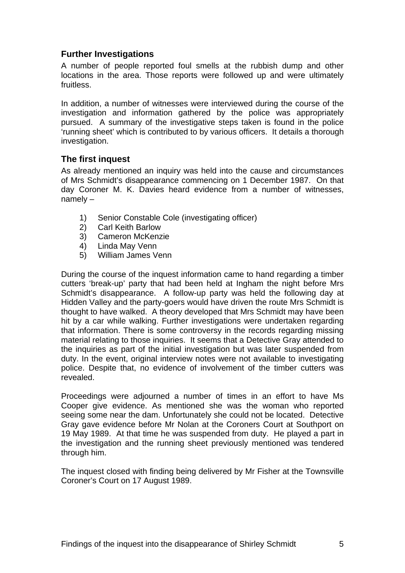## <span id="page-6-0"></span>**Further Investigations**

A number of people reported foul smells at the rubbish dump and other locations in the area. Those reports were followed up and were ultimately fruitless.

In addition, a number of witnesses were interviewed during the course of the investigation and information gathered by the police was appropriately pursued. A summary of the investigative steps taken is found in the police 'running sheet' which is contributed to by various officers. It details a thorough investigation.

## **The first inquest**

As already mentioned an inquiry was held into the cause and circumstances of Mrs Schmidt's disappearance commencing on 1 December 1987. On that day Coroner M. K. Davies heard evidence from a number of witnesses, namely –

- 1) Senior Constable Cole (investigating officer)
- 2) Carl Keith Barlow
- 3) Cameron McKenzie
- 4) Linda May Venn
- 5) William James Venn

During the course of the inquest information came to hand regarding a timber cutters 'break-up' party that had been held at Ingham the night before Mrs Schmidt's disappearance. A follow-up party was held the following day at Hidden Valley and the party-goers would have driven the route Mrs Schmidt is thought to have walked. A theory developed that Mrs Schmidt may have been hit by a car while walking. Further investigations were undertaken regarding that information. There is some controversy in the records regarding missing material relating to those inquiries. It seems that a Detective Gray attended to the inquiries as part of the initial investigation but was later suspended from duty. In the event, original interview notes were not available to investigating police. Despite that, no evidence of involvement of the timber cutters was revealed.

Proceedings were adjourned a number of times in an effort to have Ms Cooper give evidence. As mentioned she was the woman who reported seeing some near the dam. Unfortunately she could not be located. Detective Gray gave evidence before Mr Nolan at the Coroners Court at Southport on 19 May 1989. At that time he was suspended from duty. He played a part in the investigation and the running sheet previously mentioned was tendered through him.

The inquest closed with finding being delivered by Mr Fisher at the Townsville Coroner's Court on 17 August 1989.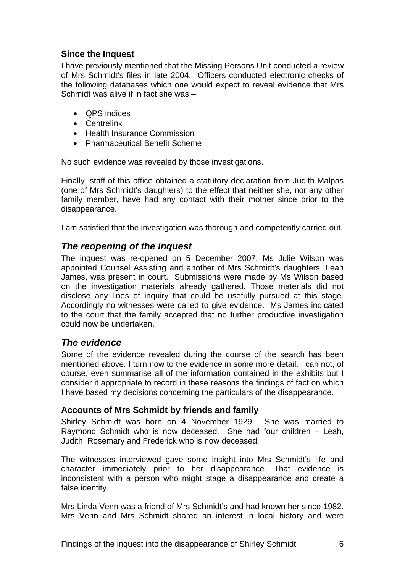## <span id="page-7-0"></span>**Since the Inquest**

I have previously mentioned that the Missing Persons Unit conducted a review of Mrs Schmidt's files in late 2004. Officers conducted electronic checks of the following databases which one would expect to reveal evidence that Mrs Schmidt was alive if in fact she was –

- QPS indices
- Centrelink
- Health Insurance Commission
- Pharmaceutical Benefit Scheme

No such evidence was revealed by those investigations.

Finally, staff of this office obtained a statutory declaration from Judith Malpas (one of Mrs Schmidt's daughters) to the effect that neither she, nor any other family member, have had any contact with their mother since prior to the disappearance.

I am satisfied that the investigation was thorough and competently carried out.

## *The reopening of the inquest*

The inquest was re-opened on 5 December 2007. Ms Julie Wilson was appointed Counsel Assisting and another of Mrs Schmidt's daughters, Leah James, was present in court. Submissions were made by Ms Wilson based on the investigation materials already gathered. Those materials did not disclose any lines of inquiry that could be usefully pursued at this stage. Accordingly no witnesses were called to give evidence. Ms James indicated to the court that the family accepted that no further productive investigation could now be undertaken.

## *The evidence*

Some of the evidence revealed during the course of the search has been mentioned above. I turn now to the evidence in some more detail. I can not, of course, even summarise all of the information contained in the exhibits but I consider it appropriate to record in these reasons the findings of fact on which I have based my decisions concerning the particulars of the disappearance.

#### **Accounts of Mrs Schmidt by friends and family**

Shirley Schmidt was born on 4 November 1929. She was married to Raymond Schmidt who is now deceased. She had four children – Leah, Judith, Rosemary and Frederick who is now deceased.

The witnesses interviewed gave some insight into Mrs Schmidt's life and character immediately prior to her disappearance. That evidence is inconsistent with a person who might stage a disappearance and create a false identity.

Mrs Linda Venn was a friend of Mrs Schmidt's and had known her since 1982. Mrs Venn and Mrs Schmidt shared an interest in local history and were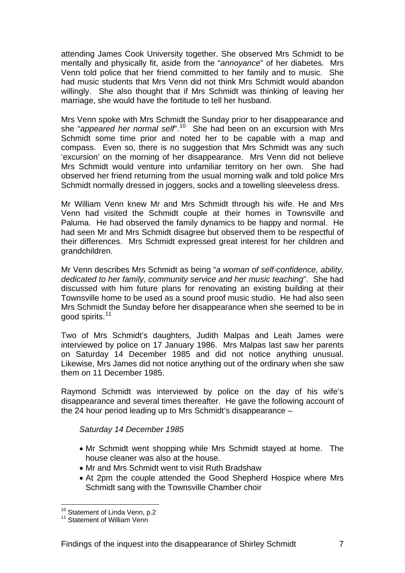attending James Cook University together. She observed Mrs Schmidt to be mentally and physically fit, aside from the "*annoyance*" of her diabetes. Mrs Venn told police that her friend committed to her family and to music. She had music students that Mrs Venn did not think Mrs Schmidt would abandon willingly. She also thought that if Mrs Schmidt was thinking of leaving her marriage, she would have the fortitude to tell her husband.

Mrs Venn spoke with Mrs Schmidt the Sunday prior to her disappearance and she "*appeared her normal self*".[10](#page-8-0) She had been on an excursion with Mrs Schmidt some time prior and noted her to be capable with a map and compass. Even so, there is no suggestion that Mrs Schmidt was any such 'excursion' on the morning of her disappearance. Mrs Venn did not believe Mrs Schmidt would venture into unfamiliar territory on her own. She had observed her friend returning from the usual morning walk and told police Mrs Schmidt normally dressed in joggers, socks and a towelling sleeveless dress.

Mr William Venn knew Mr and Mrs Schmidt through his wife. He and Mrs Venn had visited the Schmidt couple at their homes in Townsville and Paluma. He had observed the family dynamics to be happy and normal. He had seen Mr and Mrs Schmidt disagree but observed them to be respectful of their differences. Mrs Schmidt expressed great interest for her children and grandchildren.

Mr Venn describes Mrs Schmidt as being "*a woman of self-confidence, ability, dedicated to her family, community service and her music teaching*". She had discussed with him future plans for renovating an existing building at their Townsville home to be used as a sound proof music studio. He had also seen Mrs Schmidt the Sunday before her disappearance when she seemed to be in good spirits.<sup>[11](#page-8-1)</sup>

Two of Mrs Schmidt's daughters, Judith Malpas and Leah James were interviewed by police on 17 January 1986. Mrs Malpas last saw her parents on Saturday 14 December 1985 and did not notice anything unusual. Likewise, Mrs James did not notice anything out of the ordinary when she saw them on 11 December 1985.

Raymond Schmidt was interviewed by police on the day of his wife's disappearance and several times thereafter. He gave the following account of the 24 hour period leading up to Mrs Schmidt's disappearance –

#### *Saturday 14 December 1985*

- Mr Schmidt went shopping while Mrs Schmidt stayed at home. The house cleaner was also at the house.
- Mr and Mrs Schmidt went to visit Ruth Bradshaw
- At 2pm the couple attended the Good Shepherd Hospice where Mrs Schmidt sang with the Townsville Chamber choir

l

<span id="page-8-1"></span><span id="page-8-0"></span> $10^{10}$  Statement of Linda Venn, p.2  $11$  Statement of William Venn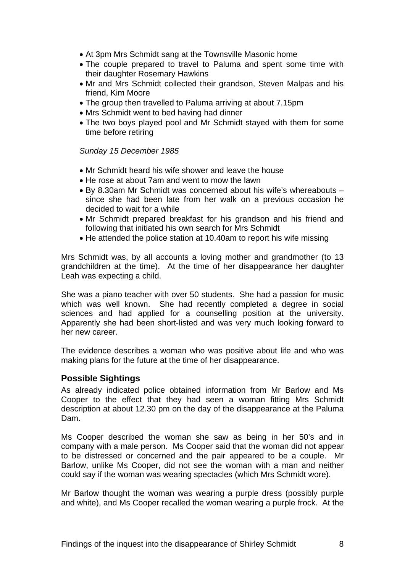- <span id="page-9-0"></span>• At 3pm Mrs Schmidt sang at the Townsville Masonic home
- The couple prepared to travel to Paluma and spent some time with their daughter Rosemary Hawkins
- Mr and Mrs Schmidt collected their grandson, Steven Malpas and his friend, Kim Moore
- The group then travelled to Paluma arriving at about 7.15pm
- Mrs Schmidt went to bed having had dinner
- The two boys played pool and Mr Schmidt stayed with them for some time before retiring

#### *Sunday 15 December 1985*

- Mr Schmidt heard his wife shower and leave the house
- He rose at about 7am and went to mow the lawn
- By 8.30am Mr Schmidt was concerned about his wife's whereabouts since she had been late from her walk on a previous occasion he decided to wait for a while
- Mr Schmidt prepared breakfast for his grandson and his friend and following that initiated his own search for Mrs Schmidt
- He attended the police station at 10.40am to report his wife missing

Mrs Schmidt was, by all accounts a loving mother and grandmother (to 13 grandchildren at the time). At the time of her disappearance her daughter Leah was expecting a child.

She was a piano teacher with over 50 students. She had a passion for music which was well known. She had recently completed a degree in social sciences and had applied for a counselling position at the university. Apparently she had been short-listed and was very much looking forward to her new career.

The evidence describes a woman who was positive about life and who was making plans for the future at the time of her disappearance.

#### **Possible Sightings**

As already indicated police obtained information from Mr Barlow and Ms Cooper to the effect that they had seen a woman fitting Mrs Schmidt description at about 12.30 pm on the day of the disappearance at the Paluma Dam.

Ms Cooper described the woman she saw as being in her 50's and in company with a male person. Ms Cooper said that the woman did not appear to be distressed or concerned and the pair appeared to be a couple. Mr Barlow, unlike Ms Cooper, did not see the woman with a man and neither could say if the woman was wearing spectacles (which Mrs Schmidt wore).

Mr Barlow thought the woman was wearing a purple dress (possibly purple and white), and Ms Cooper recalled the woman wearing a purple frock. At the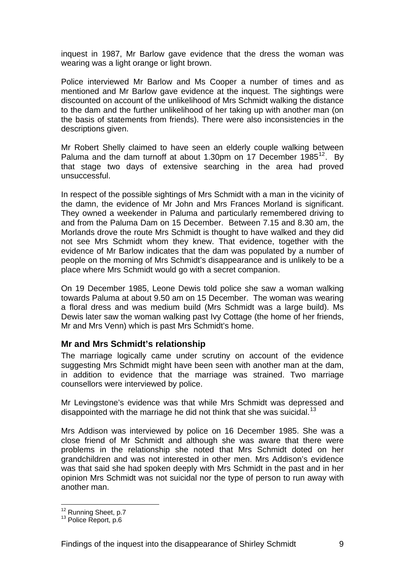<span id="page-10-0"></span>inquest in 1987, Mr Barlow gave evidence that the dress the woman was wearing was a light orange or light brown.

Police interviewed Mr Barlow and Ms Cooper a number of times and as mentioned and Mr Barlow gave evidence at the inquest. The sightings were discounted on account of the unlikelihood of Mrs Schmidt walking the distance to the dam and the further unlikelihood of her taking up with another man (on the basis of statements from friends). There were also inconsistencies in the descriptions given.

Mr Robert Shelly claimed to have seen an elderly couple walking between Paluma and the dam turnoff at about 1.30pm on 17 December  $1985^{12}$  $1985^{12}$  $1985^{12}$ . By that stage two days of extensive searching in the area had proved unsuccessful.

In respect of the possible sightings of Mrs Schmidt with a man in the vicinity of the damn, the evidence of Mr John and Mrs Frances Morland is significant. They owned a weekender in Paluma and particularly remembered driving to and from the Paluma Dam on 15 December. Between 7.15 and 8.30 am, the Morlands drove the route Mrs Schmidt is thought to have walked and they did not see Mrs Schmidt whom they knew. That evidence, together with the evidence of Mr Barlow indicates that the dam was populated by a number of people on the morning of Mrs Schmidt's disappearance and is unlikely to be a place where Mrs Schmidt would go with a secret companion.

On 19 December 1985, Leone Dewis told police she saw a woman walking towards Paluma at about 9.50 am on 15 December. The woman was wearing a floral dress and was medium build (Mrs Schmidt was a large build). Ms Dewis later saw the woman walking past Ivy Cottage (the home of her friends, Mr and Mrs Venn) which is past Mrs Schmidt's home.

#### **Mr and Mrs Schmidt's relationship**

The marriage logically came under scrutiny on account of the evidence suggesting Mrs Schmidt might have been seen with another man at the dam, in addition to evidence that the marriage was strained. Two marriage counsellors were interviewed by police.

Mr Levingstone's evidence was that while Mrs Schmidt was depressed and disappointed with the marriage he did not think that she was suicidal.<sup>[13](#page-10-2)</sup>

Mrs Addison was interviewed by police on 16 December 1985. She was a close friend of Mr Schmidt and although she was aware that there were problems in the relationship she noted that Mrs Schmidt doted on her grandchildren and was not interested in other men. Mrs Addison's evidence was that said she had spoken deeply with Mrs Schmidt in the past and in her opinion Mrs Schmidt was not suicidal nor the type of person to run away with another man.

l

<span id="page-10-2"></span><span id="page-10-1"></span> $12$  Running Sheet, p.7<br> $13$  Police Report, p.6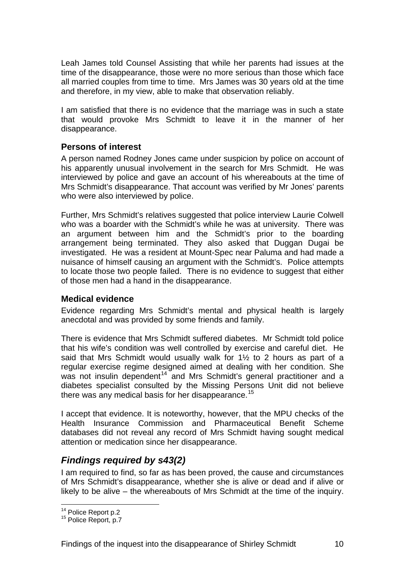<span id="page-11-0"></span>Leah James told Counsel Assisting that while her parents had issues at the time of the disappearance, those were no more serious than those which face all married couples from time to time. Mrs James was 30 years old at the time and therefore, in my view, able to make that observation reliably.

I am satisfied that there is no evidence that the marriage was in such a state that would provoke Mrs Schmidt to leave it in the manner of her disappearance.

#### **Persons of interest**

A person named Rodney Jones came under suspicion by police on account of his apparently unusual involvement in the search for Mrs Schmidt. He was interviewed by police and gave an account of his whereabouts at the time of Mrs Schmidt's disappearance. That account was verified by Mr Jones' parents who were also interviewed by police.

Further, Mrs Schmidt's relatives suggested that police interview Laurie Colwell who was a boarder with the Schmidt's while he was at university. There was an argument between him and the Schmidt's prior to the boarding arrangement being terminated. They also asked that Duggan Dugai be investigated. He was a resident at Mount-Spec near Paluma and had made a nuisance of himself causing an argument with the Schmidt's. Police attempts to locate those two people failed. There is no evidence to suggest that either of those men had a hand in the disappearance.

#### **Medical evidence**

Evidence regarding Mrs Schmidt's mental and physical health is largely anecdotal and was provided by some friends and family.

There is evidence that Mrs Schmidt suffered diabetes. Mr Schmidt told police that his wife's condition was well controlled by exercise and careful diet. He said that Mrs Schmidt would usually walk for 1½ to 2 hours as part of a regular exercise regime designed aimed at dealing with her condition. She was not insulin dependent<sup>[14](#page-11-1)</sup> and Mrs Schmidt's general practitioner and a diabetes specialist consulted by the Missing Persons Unit did not believe there was any medical basis for her disappearance.<sup>[15](#page-11-2)</sup>

I accept that evidence. It is noteworthy, however, that the MPU checks of the Health Insurance Commission and Pharmaceutical Benefit Scheme databases did not reveal any record of Mrs Schmidt having sought medical attention or medication since her disappearance.

## *Findings required by s43(2)*

I am required to find, so far as has been proved, the cause and circumstances of Mrs Schmidt's disappearance, whether she is alive or dead and if alive or likely to be alive – the whereabouts of Mrs Schmidt at the time of the inquiry.

<span id="page-11-1"></span><sup>&</sup>lt;sup>14</sup> Police Report p.2

<span id="page-11-2"></span> $15$  Police Report, p.7